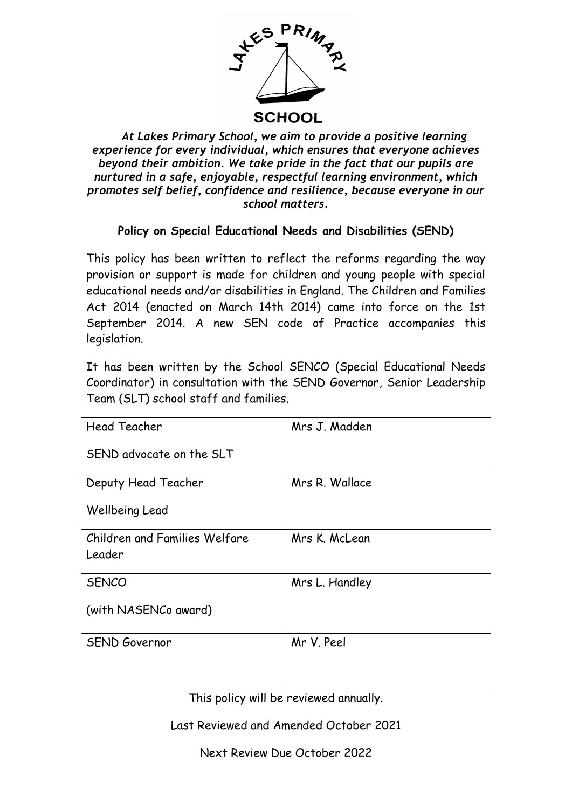

 *At Lakes Primary School, we aim to provide a positive learning experience for every individual, which ensures that everyone achieves beyond their ambition. We take pride in the fact that our pupils are nurtured in a safe, enjoyable, respectful learning environment, which promotes self belief, confidence and resilience, because everyone in our school matters.*

# **Policy on Special Educational Needs and Disabilities (SEND)**

This policy has been written to reflect the reforms regarding the way provision or support is made for children and young people with special educational needs and/or disabilities in England. The Children and Families Act 2014 (enacted on March 14th 2014) came into force on the 1st September 2014. A new SEN code of Practice accompanies this legislation.

It has been written by the School SENCO (Special Educational Needs Coordinator) in consultation with the SEND Governor, Senior Leadership Team (SLT) school staff and families.

| <b>Head Teacher</b>           | Mrs J. Madden  |
|-------------------------------|----------------|
| SEND advocate on the SLT      |                |
| Deputy Head Teacher           | Mrs R. Wallace |
| Wellbeing Lead                |                |
| Children and Families Welfare | Mrs K. McLean  |
| Leader                        |                |
| <b>SENCO</b>                  | Mrs L. Handley |
| (with NASENCo award)          |                |
| <b>SEND Governor</b>          | Mr V. Peel     |
|                               |                |
|                               |                |

This policy will be reviewed annually.

Last Reviewed and Amended October 2021

Next Review Due October 2022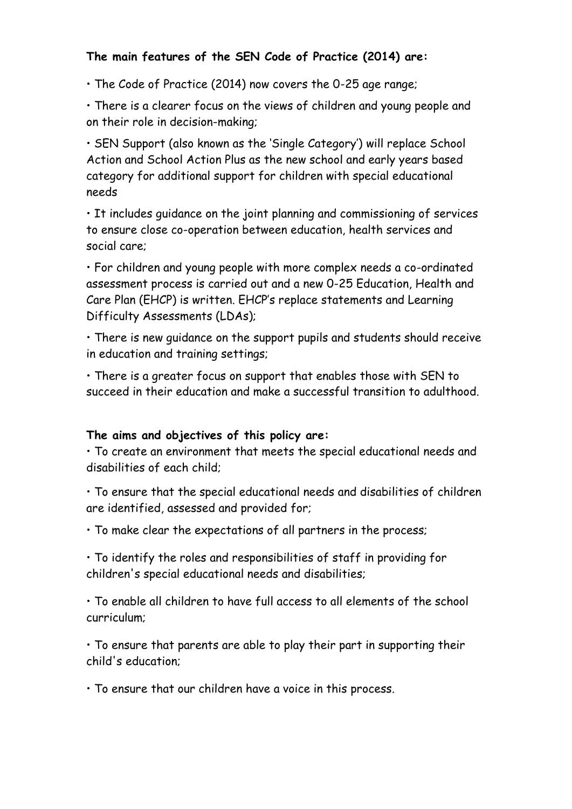## **The main features of the SEN Code of Practice (2014) are:**

• The Code of Practice (2014) now covers the 0-25 age range;

• There is a clearer focus on the views of children and young people and on their role in decision-making;

• SEN Support (also known as the 'Single Category') will replace School Action and School Action Plus as the new school and early years based category for additional support for children with special educational needs

• It includes guidance on the joint planning and commissioning of services to ensure close co-operation between education, health services and social care;

• For children and young people with more complex needs a co-ordinated assessment process is carried out and a new 0-25 Education, Health and Care Plan (EHCP) is written. EHCP's replace statements and Learning Difficulty Assessments (LDAs);

• There is new guidance on the support pupils and students should receive in education and training settings;

• There is a greater focus on support that enables those with SEN to succeed in their education and make a successful transition to adulthood.

#### **The aims and objectives of this policy are:**

• To create an environment that meets the special educational needs and disabilities of each child;

• To ensure that the special educational needs and disabilities of children are identified, assessed and provided for;

• To make clear the expectations of all partners in the process;

• To identify the roles and responsibilities of staff in providing for children's special educational needs and disabilities;

• To enable all children to have full access to all elements of the school curriculum;

• To ensure that parents are able to play their part in supporting their child's education;

• To ensure that our children have a voice in this process.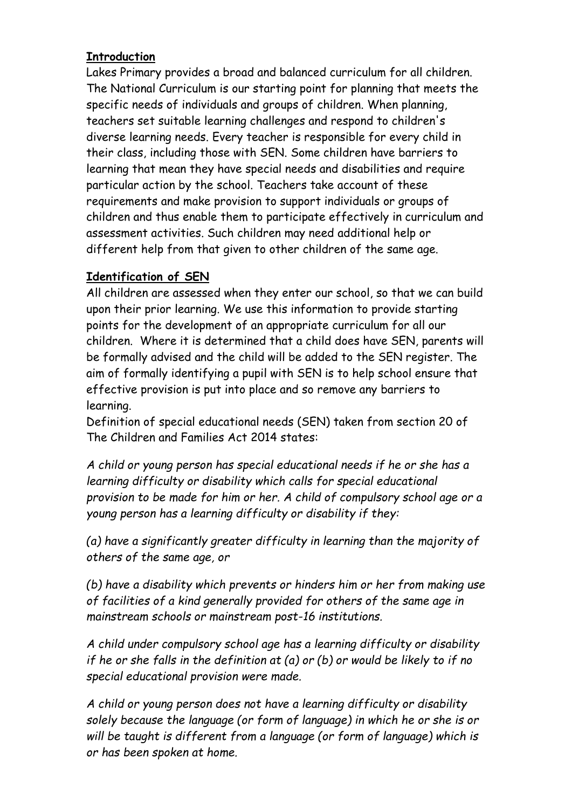### **Introduction**

Lakes Primary provides a broad and balanced curriculum for all children. The National Curriculum is our starting point for planning that meets the specific needs of individuals and groups of children. When planning, teachers set suitable learning challenges and respond to children's diverse learning needs. Every teacher is responsible for every child in their class, including those with SEN. Some children have barriers to learning that mean they have special needs and disabilities and require particular action by the school. Teachers take account of these requirements and make provision to support individuals or groups of children and thus enable them to participate effectively in curriculum and assessment activities. Such children may need additional help or different help from that given to other children of the same age.

#### **Identification of SEN**

All children are assessed when they enter our school, so that we can build upon their prior learning. We use this information to provide starting points for the development of an appropriate curriculum for all our children. Where it is determined that a child does have SEN, parents will be formally advised and the child will be added to the SEN register. The aim of formally identifying a pupil with SEN is to help school ensure that effective provision is put into place and so remove any barriers to learning.

Definition of special educational needs (SEN) taken from section 20 of The Children and Families Act 2014 states:

*A child or young person has special educational needs if he or she has a learning difficulty or disability which calls for special educational provision to be made for him or her. A child of compulsory school age or a young person has a learning difficulty or disability if they:* 

*(a) have a significantly greater difficulty in learning than the majority of others of the same age, or* 

*(b) have a disability which prevents or hinders him or her from making use of facilities of a kind generally provided for others of the same age in mainstream schools or mainstream post-16 institutions.* 

*A child under compulsory school age has a learning difficulty or disability if he or she falls in the definition at (a) or (b) or would be likely to if no special educational provision were made.* 

*A child or young person does not have a learning difficulty or disability solely because the language (or form of language) in which he or she is or will be taught is different from a language (or form of language) which is or has been spoken at home.*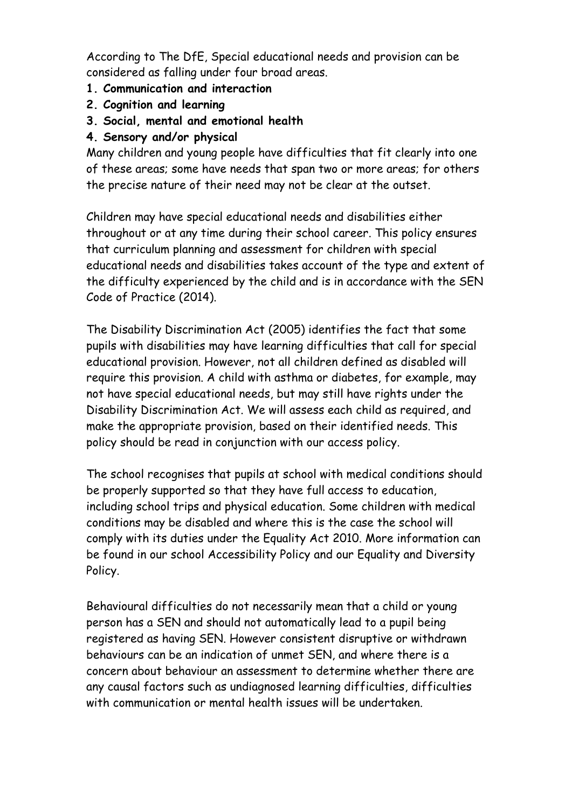According to The DfE, Special educational needs and provision can be considered as falling under four broad areas.

- **1. Communication and interaction**
- **2. Cognition and learning**
- **3. Social, mental and emotional health**
- **4. Sensory and/or physical**

Many children and young people have difficulties that fit clearly into one of these areas; some have needs that span two or more areas; for others the precise nature of their need may not be clear at the outset.

Children may have special educational needs and disabilities either throughout or at any time during their school career. This policy ensures that curriculum planning and assessment for children with special educational needs and disabilities takes account of the type and extent of the difficulty experienced by the child and is in accordance with the SEN Code of Practice (2014).

The Disability Discrimination Act (2005) identifies the fact that some pupils with disabilities may have learning difficulties that call for special educational provision. However, not all children defined as disabled will require this provision. A child with asthma or diabetes, for example, may not have special educational needs, but may still have rights under the Disability Discrimination Act. We will assess each child as required, and make the appropriate provision, based on their identified needs. This policy should be read in conjunction with our access policy.

The school recognises that pupils at school with medical conditions should be properly supported so that they have full access to education, including school trips and physical education. Some children with medical conditions may be disabled and where this is the case the school will comply with its duties under the Equality Act 2010. More information can be found in our school Accessibility Policy and our Equality and Diversity Policy.

Behavioural difficulties do not necessarily mean that a child or young person has a SEN and should not automatically lead to a pupil being registered as having SEN. However consistent disruptive or withdrawn behaviours can be an indication of unmet SEN, and where there is a concern about behaviour an assessment to determine whether there are any causal factors such as undiagnosed learning difficulties, difficulties with communication or mental health issues will be undertaken.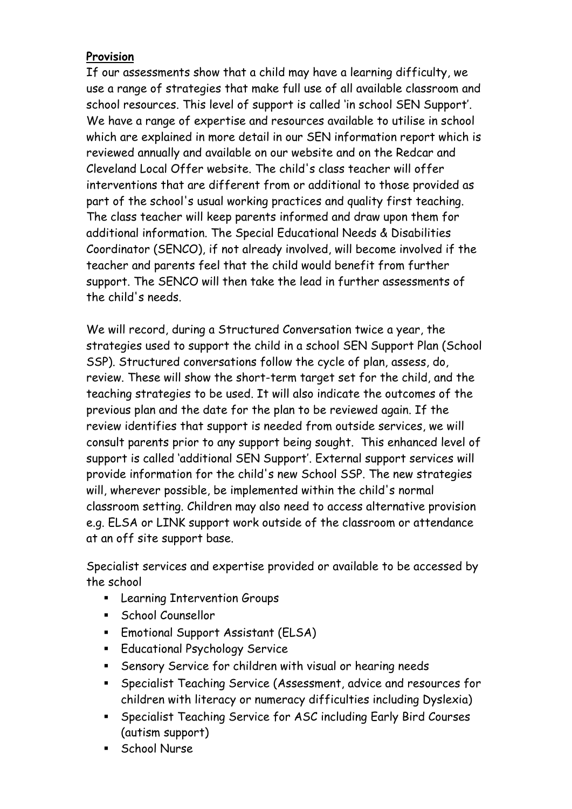### **Provision**

If our assessments show that a child may have a learning difficulty, we use a range of strategies that make full use of all available classroom and school resources. This level of support is called 'in school SEN Support'. We have a range of expertise and resources available to utilise in school which are explained in more detail in our SEN information report which is reviewed annually and available on our website and on the Redcar and Cleveland Local Offer website. The child's class teacher will offer interventions that are different from or additional to those provided as part of the school's usual working practices and quality first teaching. The class teacher will keep parents informed and draw upon them for additional information. The Special Educational Needs & Disabilities Coordinator (SENCO), if not already involved, will become involved if the teacher and parents feel that the child would benefit from further support. The SENCO will then take the lead in further assessments of the child's needs.

We will record, during a Structured Conversation twice a year, the strategies used to support the child in a school SEN Support Plan (School SSP). Structured conversations follow the cycle of plan, assess, do, review. These will show the short-term target set for the child, and the teaching strategies to be used. It will also indicate the outcomes of the previous plan and the date for the plan to be reviewed again. If the review identifies that support is needed from outside services, we will consult parents prior to any support being sought. This enhanced level of support is called 'additional SEN Support'. External support services will provide information for the child's new School SSP. The new strategies will, wherever possible, be implemented within the child's normal classroom setting. Children may also need to access alternative provision e.g. ELSA or LINK support work outside of the classroom or attendance at an off site support base.

Specialist services and expertise provided or available to be accessed by the school

- **Example Intervention Groups**
- School Counsellor
- **Emotional Support Assistant (ELSA)**
- **Educational Psychology Service**
- Sensory Service for children with visual or hearing needs
- Specialist Teaching Service (Assessment, advice and resources for children with literacy or numeracy difficulties including Dyslexia)
- Specialist Teaching Service for ASC including Early Bird Courses (autism support)
- **School Nurse**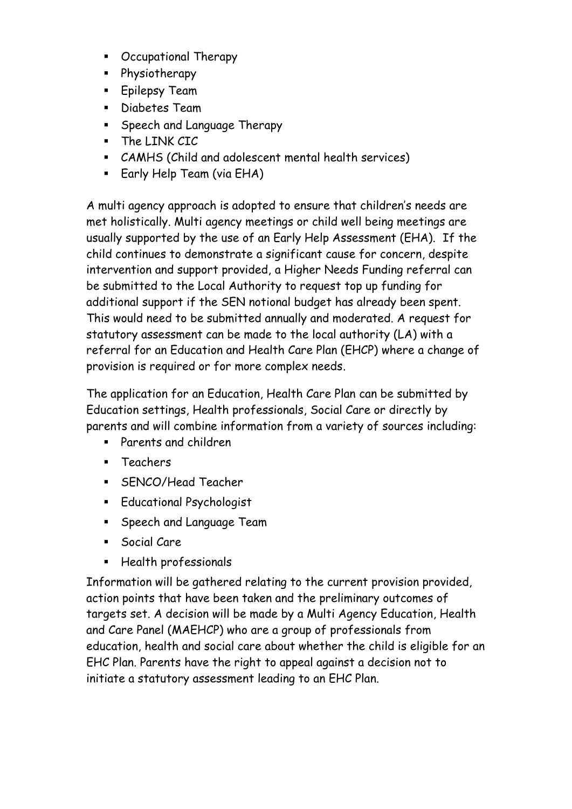- Occupational Therapy
- **Physiotherapy**
- **Epilepsy Team**
- **Diabetes Team**
- **Speech and Language Therapy**
- The LINK CIC
- CAMHS (Child and adolescent mental health services)
- **Early Help Team (via EHA)**

A multi agency approach is adopted to ensure that children's needs are met holistically. Multi agency meetings or child well being meetings are usually supported by the use of an Early Help Assessment (EHA). If the child continues to demonstrate a significant cause for concern, despite intervention and support provided, a Higher Needs Funding referral can be submitted to the Local Authority to request top up funding for additional support if the SEN notional budget has already been spent. This would need to be submitted annually and moderated. A request for statutory assessment can be made to the local authority (LA) with a referral for an Education and Health Care Plan (EHCP) where a change of provision is required or for more complex needs.

The application for an Education, Health Care Plan can be submitted by Education settings, Health professionals, Social Care or directly by parents and will combine information from a variety of sources including:

- Parents and children
- **Teachers**
- **SENCO/Head Teacher**
- **Educational Psychologist**
- **Speech and Language Team**
- **Social Care**
- Health professionals

Information will be gathered relating to the current provision provided, action points that have been taken and the preliminary outcomes of targets set. A decision will be made by a Multi Agency Education, Health and Care Panel (MAEHCP) who are a group of professionals from education, health and social care about whether the child is eligible for an EHC Plan. Parents have the right to appeal against a decision not to initiate a statutory assessment leading to an EHC Plan.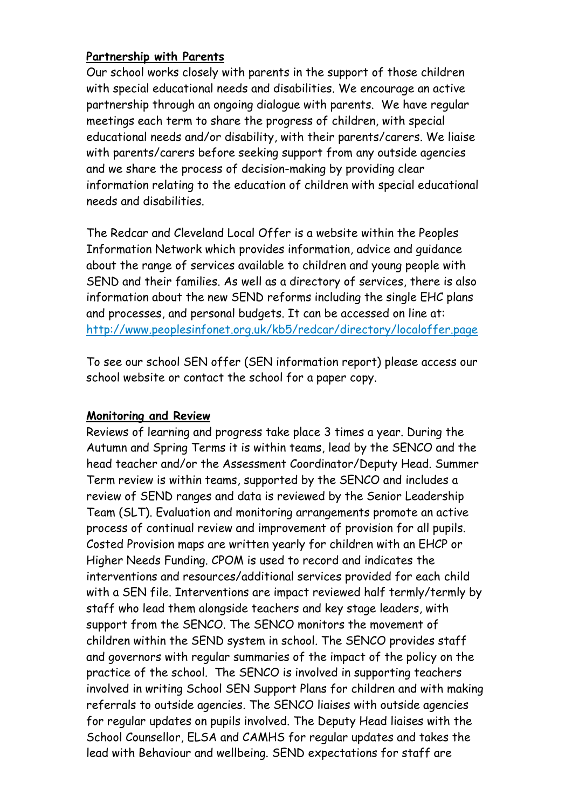#### **Partnership with Parents**

Our school works closely with parents in the support of those children with special educational needs and disabilities. We encourage an active partnership through an ongoing dialogue with parents. We have regular meetings each term to share the progress of children, with special educational needs and/or disability, with their parents/carers. We liaise with parents/carers before seeking support from any outside agencies and we share the process of decision-making by providing clear information relating to the education of children with special educational needs and disabilities.

The Redcar and Cleveland Local Offer is a website within the Peoples Information Network which provides information, advice and guidance about the range of services available to children and young people with SEND and their families. As well as a directory of services, there is also information about the new SEND reforms including the single EHC plans and processes, and personal budgets. It can be accessed on line at: <http://www.peoplesinfonet.org.uk/kb5/redcar/directory/localoffer.page>

To see our school SEN offer (SEN information report) please access our school website or contact the school for a paper copy.

#### **Monitoring and Review**

Reviews of learning and progress take place 3 times a year. During the Autumn and Spring Terms it is within teams, lead by the SENCO and the head teacher and/or the Assessment Coordinator/Deputy Head. Summer Term review is within teams, supported by the SENCO and includes a review of SEND ranges and data is reviewed by the Senior Leadership Team (SLT). Evaluation and monitoring arrangements promote an active process of continual review and improvement of provision for all pupils. Costed Provision maps are written yearly for children with an EHCP or Higher Needs Funding. CPOM is used to record and indicates the interventions and resources/additional services provided for each child with a SEN file. Interventions are impact reviewed half termly/termly by staff who lead them alongside teachers and key stage leaders, with support from the SENCO. The SENCO monitors the movement of children within the SEND system in school. The SENCO provides staff and governors with regular summaries of the impact of the policy on the practice of the school. The SENCO is involved in supporting teachers involved in writing School SEN Support Plans for children and with making referrals to outside agencies. The SENCO liaises with outside agencies for regular updates on pupils involved. The Deputy Head liaises with the School Counsellor, ELSA and CAMHS for regular updates and takes the lead with Behaviour and wellbeing. SEND expectations for staff are